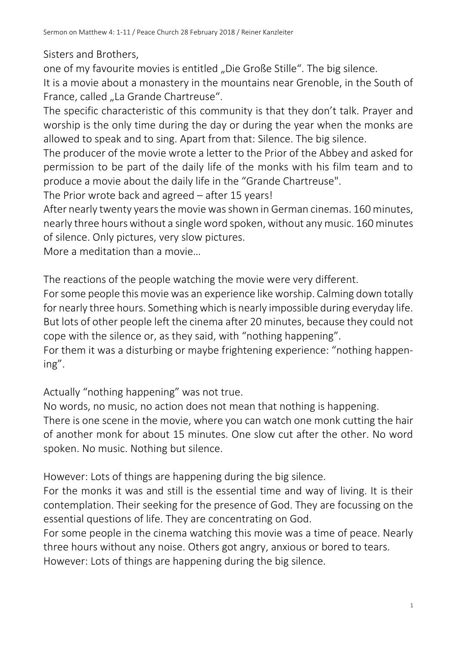Sisters and Brothers,

one of my favourite movies is entitled "Die Große Stille". The big silence.

It is a movie about a monastery in the mountains near Grenoble, in the South of France, called "La Grande Chartreuse".

The specific characteristic of this community is that they don't talk. Prayer and worship is the only time during the day or during the year when the monks are allowed to speak and to sing. Apart from that: Silence. The big silence.

The producer of the movie wrote a letter to the Prior of the Abbey and asked for permission to be part of the daily life of the monks with his film team and to produce a movie about the daily life in the "Grande Chartreuse".

The Prior wrote back and agreed – after 15 years!

After nearly twenty years the movie was shown in German cinemas. 160 minutes, nearly three hours without a single word spoken, without any music. 160 minutes of silence. Only pictures, very slow pictures.

More a meditation than a movie…

The reactions of the people watching the movie were very different.

For some people this movie was an experience like worship. Calming down totally for nearly three hours. Something which is nearly impossible during everyday life. But lots of other people left the cinema after 20 minutes, because they could not cope with the silence or, as they said, with "nothing happening".

For them it was a disturbing or maybe frightening experience: "nothing happening".

Actually "nothing happening" was not true.

No words, no music, no action does not mean that nothing is happening. There is one scene in the movie, where you can watch one monk cutting the hair of another monk for about 15 minutes. One slow cut after the other. No word spoken. No music. Nothing but silence.

However: Lots of things are happening during the big silence.

For the monks it was and still is the essential time and way of living. It is their contemplation. Their seeking for the presence of God. They are focussing on the essential questions of life. They are concentrating on God.

For some people in the cinema watching this movie was a time of peace. Nearly three hours without any noise. Others got angry, anxious or bored to tears. However: Lots of things are happening during the big silence.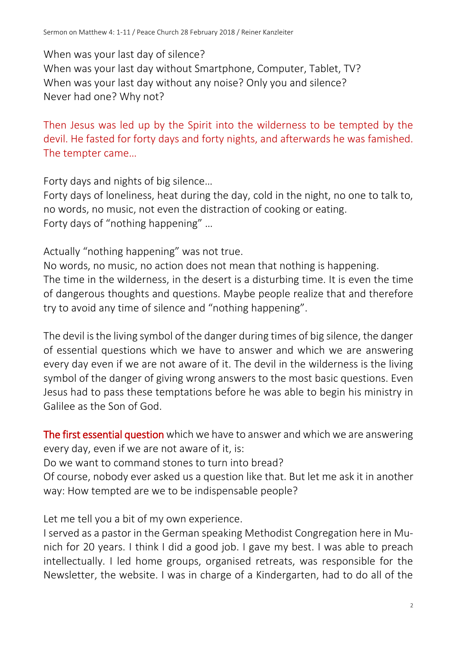When was your last day of silence? When was your last day without Smartphone, Computer, Tablet, TV? When was your last day without any noise? Only you and silence? Never had one? Why not?

Then Jesus was led up by the Spirit into the wilderness to be tempted by the devil. He fasted for forty days and forty nights, and afterwards he was famished. The tempter came…

Forty days and nights of big silence…

Forty days of loneliness, heat during the day, cold in the night, no one to talk to, no words, no music, not even the distraction of cooking or eating. Forty days of "nothing happening" …

Actually "nothing happening" was not true.

No words, no music, no action does not mean that nothing is happening. The time in the wilderness, in the desert is a disturbing time. It is even the time of dangerous thoughts and questions. Maybe people realize that and therefore try to avoid any time of silence and "nothing happening".

The devil is the living symbol of the danger during times of big silence, the danger of essential questions which we have to answer and which we are answering every day even if we are not aware of it. The devil in the wilderness is the living symbol of the danger of giving wrong answers to the most basic questions. Even Jesus had to pass these temptations before he was able to begin his ministry in Galilee as the Son of God.

The first essential question which we have to answer and which we are answering every day, even if we are not aware of it, is:

Do we want to command stones to turn into bread?

Of course, nobody ever asked us a question like that. But let me ask it in another way: How tempted are we to be indispensable people?

Let me tell you a bit of my own experience.

I served as a pastor in the German speaking Methodist Congregation here in Munich for 20 years. I think I did a good job. I gave my best. I was able to preach intellectually. I led home groups, organised retreats, was responsible for the Newsletter, the website. I was in charge of a Kindergarten, had to do all of the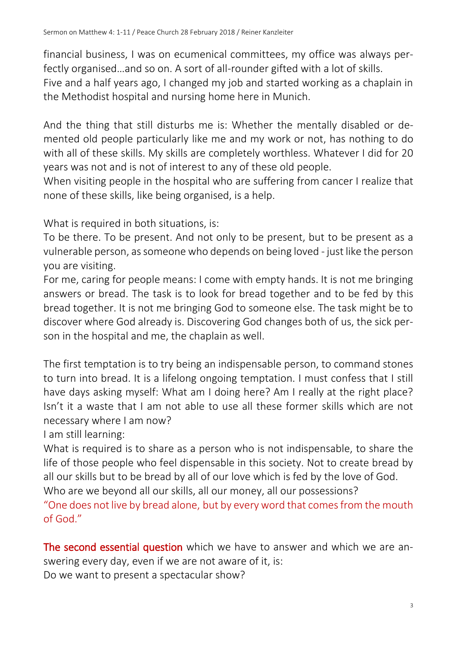financial business, I was on ecumenical committees, my office was always perfectly organised…and so on. A sort of all-rounder gifted with a lot of skills. Five and a half years ago, I changed my job and started working as a chaplain in the Methodist hospital and nursing home here in Munich.

And the thing that still disturbs me is: Whether the mentally disabled or demented old people particularly like me and my work or not, has nothing to do with all of these skills. My skills are completely worthless. Whatever I did for 20 years was not and is not of interest to any of these old people.

When visiting people in the hospital who are suffering from cancer I realize that none of these skills, like being organised, is a help.

What is required in both situations, is:

To be there. To be present. And not only to be present, but to be present as a vulnerable person, as someone who depends on being loved - just like the person you are visiting.

For me, caring for people means: I come with empty hands. It is not me bringing answers or bread. The task is to look for bread together and to be fed by this bread together. It is not me bringing God to someone else. The task might be to discover where God already is. Discovering God changes both of us, the sick person in the hospital and me, the chaplain as well.

The first temptation is to try being an indispensable person, to command stones to turn into bread. It is a lifelong ongoing temptation. I must confess that I still have days asking myself: What am I doing here? Am I really at the right place? Isn't it a waste that I am not able to use all these former skills which are not necessary where I am now?

I am still learning:

What is required is to share as a person who is not indispensable, to share the life of those people who feel dispensable in this society. Not to create bread by all our skills but to be bread by all of our love which is fed by the love of God.

Who are we beyond all our skills, all our money, all our possessions?

"One does not live by bread alone, but by every word that comes from the mouth of God."

The second essential question which we have to answer and which we are answering every day, even if we are not aware of it, is:

Do we want to present a spectacular show?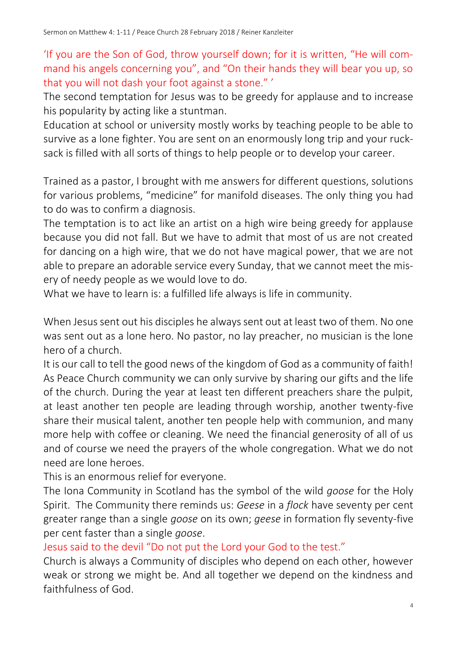'If you are the Son of God, throw yourself down; for it is written, "He will command his angels concerning you", and "On their hands they will bear you up, so that you will not dash your foot against a stone." '

The second temptation for Jesus was to be greedy for applause and to increase his popularity by acting like a stuntman.

Education at school or university mostly works by teaching people to be able to survive as a lone fighter. You are sent on an enormously long trip and your rucksack is filled with all sorts of things to help people or to develop your career.

Trained as a pastor, I brought with me answers for different questions, solutions for various problems, "medicine" for manifold diseases. The only thing you had to do was to confirm a diagnosis.

The temptation is to act like an artist on a high wire being greedy for applause because you did not fall. But we have to admit that most of us are not created for dancing on a high wire, that we do not have magical power, that we are not able to prepare an adorable service every Sunday, that we cannot meet the misery of needy people as we would love to do.

What we have to learn is: a fulfilled life always is life in community.

When Jesus sent out his disciples he always sent out at least two of them. No one was sent out as a lone hero. No pastor, no lay preacher, no musician is the lone hero of a church.

It is our call to tell the good news of the kingdom of God as a community of faith! As Peace Church community we can only survive by sharing our gifts and the life of the church. During the year at least ten different preachers share the pulpit, at least another ten people are leading through worship, another twenty-five share their musical talent, another ten people help with communion, and many more help with coffee or cleaning. We need the financial generosity of all of us and of course we need the prayers of the whole congregation. What we do not need are lone heroes.

This is an enormous relief for everyone.

The Iona Community in Scotland has the symbol of the wild *goose* for the Holy Spirit. The Community there reminds us: *Geese* in a *flock* have seventy per cent greater range than a single *goose* on its own; *geese* in formation fly seventy-five per cent faster than a single *goose*.

Jesus said to the devil "Do not put the Lord your God to the test."

Church is always a Community of disciples who depend on each other, however weak or strong we might be. And all together we depend on the kindness and faithfulness of God.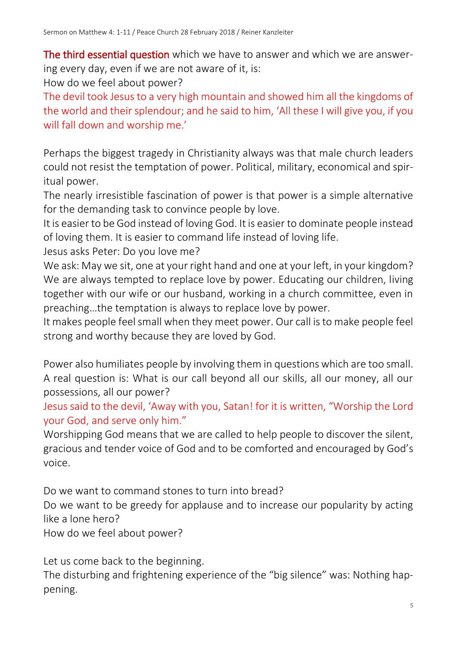The third essential question which we have to answer and which we are answering every day, even if we are not aware of it, is:

How do we feel about power?

The devil took Jesus to a very high mountain and showed him all the kingdoms of the world and their splendour; and he said to him, 'All these I will give you, if you will fall down and worship me.'

Perhaps the biggest tragedy in Christianity always was that male church leaders could not resist the temptation of power. Political, military, economical and spiritual power.

The nearly irresistible fascination of power is that power is a simple alternative for the demanding task to convince people by love.

It is easier to be God instead of loving God. It is easier to dominate people instead of loving them. It is easier to command life instead of loving life.

Jesus asks Peter: Do you love me?

We ask: May we sit, one at your right hand and one at your left, in your kingdom? We are always tempted to replace love by power. Educating our children, living together with our wife or our husband, working in a church committee, even in preaching…the temptation is always to replace love by power.

It makes people feel small when they meet power. Our call is to make people feel strong and worthy because they are loved by God.

Power also humiliates people by involving them in questions which are too small. A real question is: What is our call beyond all our skills, all our money, all our possessions, all our power?

Jesus said to the devil, 'Away with you, Satan! for it is written, "Worship the Lord your God, and serve only him."

Worshipping God means that we are called to help people to discover the silent, gracious and tender voice of God and to be comforted and encouraged by God's voice.

Do we want to command stones to turn into bread?

Do we want to be greedy for applause and to increase our popularity by acting like a lone hero?

How do we feel about power?

Let us come back to the beginning.

The disturbing and frightening experience of the "big silence" was: Nothing happening.